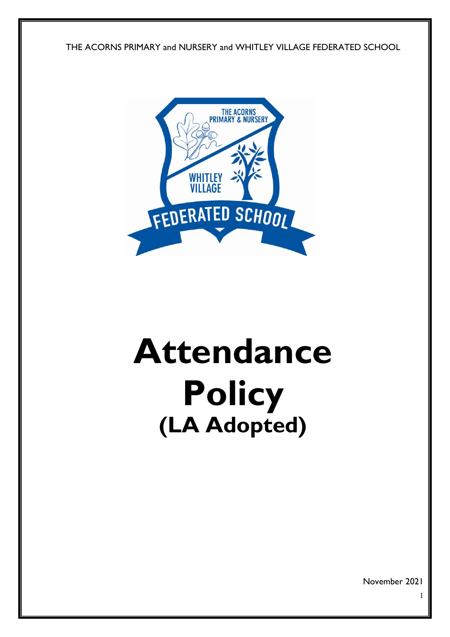THE ACORNS PRIMARY and NURSERY and WHITLEY VILLAGE FEDERATED SCHOOL



# **Attendance Policy (LA Adopted)**

November 2021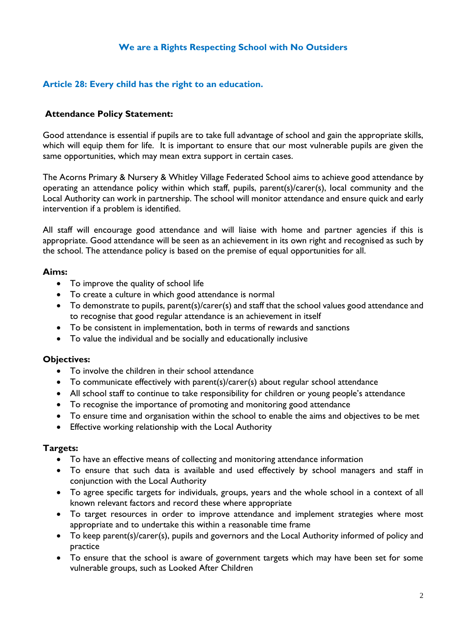# **We are a Rights Respecting School with No Outsiders**

## **Article 28: Every child has the right to an education.**

#### **Attendance Policy Statement:**

Good attendance is essential if pupils are to take full advantage of school and gain the appropriate skills, which will equip them for life. It is important to ensure that our most vulnerable pupils are given the same opportunities, which may mean extra support in certain cases.

The Acorns Primary & Nursery & Whitley Village Federated School aims to achieve good attendance by operating an attendance policy within which staff, pupils, parent(s)/carer(s), local community and the Local Authority can work in partnership. The school will monitor attendance and ensure quick and early intervention if a problem is identified.

All staff will encourage good attendance and will liaise with home and partner agencies if this is appropriate. Good attendance will be seen as an achievement in its own right and recognised as such by the school. The attendance policy is based on the premise of equal opportunities for all.

#### **Aims:**

- To improve the quality of school life
- To create a culture in which good attendance is normal
- To demonstrate to pupils, parent(s)/carer(s) and staff that the school values good attendance and to recognise that good regular attendance is an achievement in itself
- To be consistent in implementation, both in terms of rewards and sanctions
- To value the individual and be socially and educationally inclusive

#### **Objectives:**

- To involve the children in their school attendance
- To communicate effectively with parent(s)/carer(s) about regular school attendance
- All school staff to continue to take responsibility for children or young people's attendance
- To recognise the importance of promoting and monitoring good attendance
- To ensure time and organisation within the school to enable the aims and objectives to be met
- Effective working relationship with the Local Authority

## **Targets:**

- To have an effective means of collecting and monitoring attendance information
- To ensure that such data is available and used effectively by school managers and staff in conjunction with the Local Authority
- To agree specific targets for individuals, groups, years and the whole school in a context of all known relevant factors and record these where appropriate
- To target resources in order to improve attendance and implement strategies where most appropriate and to undertake this within a reasonable time frame
- To keep parent(s)/carer(s), pupils and governors and the Local Authority informed of policy and practice
- To ensure that the school is aware of government targets which may have been set for some vulnerable groups, such as Looked After Children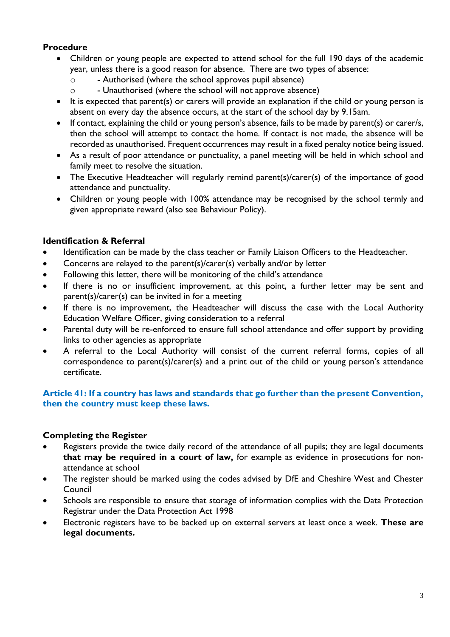# **Procedure**

- Children or young people are expected to attend school for the full 190 days of the academic year, unless there is a good reason for absence. There are two types of absence:
	- o Authorised (where the school approves pupil absence)
	- o Unauthorised (where the school will not approve absence)
- It is expected that parent(s) or carers will provide an explanation if the child or young person is absent on every day the absence occurs, at the start of the school day by 9.15am.
- If contact, explaining the child or young person's absence, fails to be made by parent(s) or carer/s, then the school will attempt to contact the home. If contact is not made, the absence will be recorded as unauthorised. Frequent occurrences may result in a fixed penalty notice being issued.
- As a result of poor attendance or punctuality, a panel meeting will be held in which school and family meet to resolve the situation.
- The Executive Headteacher will regularly remind parent(s)/carer(s) of the importance of good attendance and punctuality.
- Children or young people with 100% attendance may be recognised by the school termly and given appropriate reward (also see Behaviour Policy).

# **Identification & Referral**

- Identification can be made by the class teacher or Family Liaison Officers to the Headteacher.
- Concerns are relayed to the parent(s)/carer(s) verbally and/or by letter
- Following this letter, there will be monitoring of the child's attendance
- If there is no or insufficient improvement, at this point, a further letter may be sent and parent(s)/carer(s) can be invited in for a meeting
- If there is no improvement, the Headteacher will discuss the case with the Local Authority Education Welfare Officer, giving consideration to a referral
- Parental duty will be re-enforced to ensure full school attendance and offer support by providing links to other agencies as appropriate
- A referral to the Local Authority will consist of the current referral forms, copies of all correspondence to parent(s)/carer(s) and a print out of the child or young person's attendance certificate.

## **Article 41: If a country has laws and standards that go further than the present Convention, then the country must keep these laws.**

# **Completing the Register**

- Registers provide the twice daily record of the attendance of all pupils; they are legal documents **that may be required in a court of law,** for example as evidence in prosecutions for nonattendance at school
- The register should be marked using the codes advised by DfE and Cheshire West and Chester Council
- Schools are responsible to ensure that storage of information complies with the Data Protection Registrar under the Data Protection Act 1998
- Electronic registers have to be backed up on external servers at least once a week. **These are legal documents.**